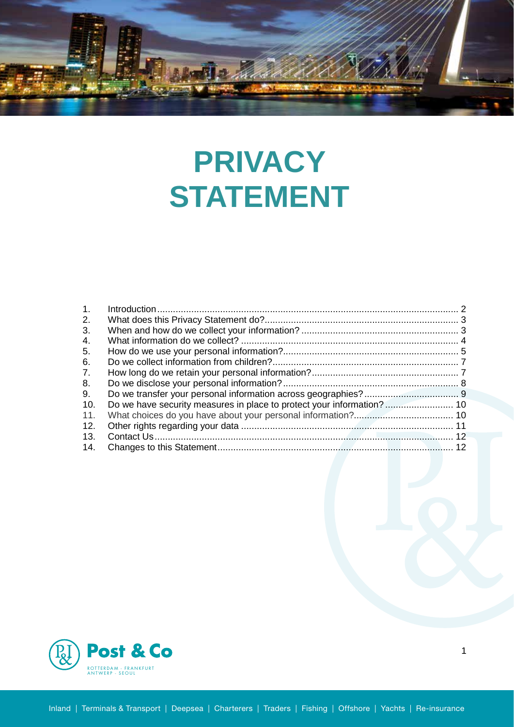

# **PRIVACY STATEMENT**

| 1 <sub>1</sub> |                                                                       |  |
|----------------|-----------------------------------------------------------------------|--|
| 2.             |                                                                       |  |
| 3.             |                                                                       |  |
| 4.             |                                                                       |  |
| 5.             |                                                                       |  |
| 6.             |                                                                       |  |
| 7.             |                                                                       |  |
| 8.             |                                                                       |  |
| 9.             |                                                                       |  |
| 10.            | Do we have security measures in place to protect your information? 10 |  |
| 11.            |                                                                       |  |
| 12.            |                                                                       |  |
| 13.            |                                                                       |  |
| 14.            |                                                                       |  |

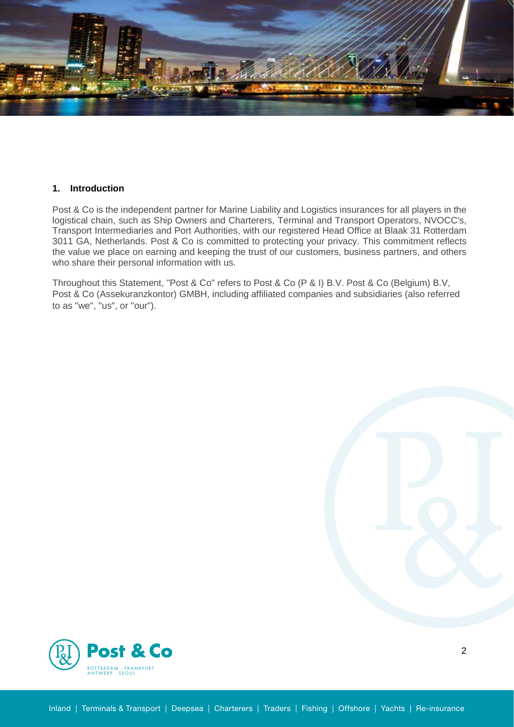

## **1. Introduction**

Post & Co is the independent partner for Marine Liability and Logistics insurances for all players in the logistical chain, such as Ship Owners and Charterers, Terminal and Transport Operators, NVOCC's, Transport Intermediaries and Port Authorities, with our registered Head Office at Blaak 31 Rotterdam 3011 GA, Netherlands. Post & Co is committed to protecting your privacy. This commitment reflects the value we place on earning and keeping the trust of our customers, business partners, and others who share their personal information with us.

Throughout this Statement, "Post & Co" refers to Post & Co (P & I) B.V. Post & Co (Belgium) B.V, Post & Co (Assekuranzkontor) GMBH, including affiliated companies and subsidiaries (also referred to as "we", "us", or "our").

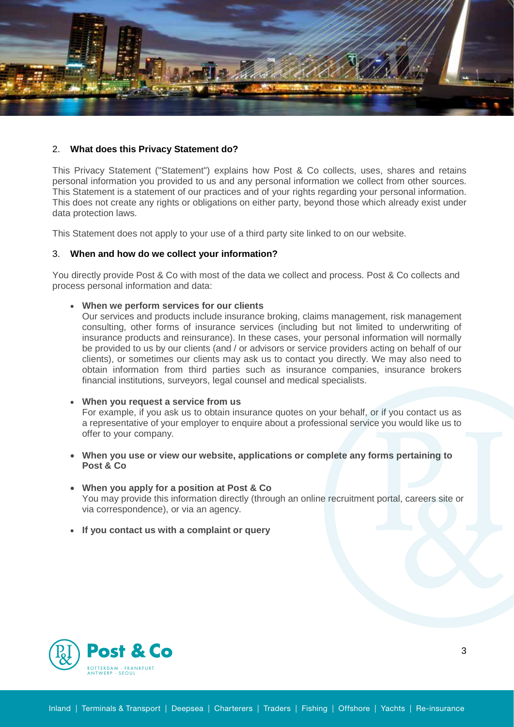

## 2. **What does this Privacy Statement do?**

This Privacy Statement ("Statement") explains how Post & Co collects, uses, shares and retains personal information you provided to us and any personal information we collect from other sources. This Statement is a statement of our practices and of your rights regarding your personal information. This does not create any rights or obligations on either party, beyond those which already exist under data protection laws.

This Statement does not apply to your use of a third party site linked to on our website.

## 3. **When and how do we collect your information?**

You directly provide Post & Co with most of the data we collect and process. Post & Co collects and process personal information and data:

#### • **When we perform services for our clients**

 Our services and products include insurance broking, claims management, risk management consulting, other forms of insurance services (including but not limited to underwriting of insurance products and reinsurance). In these cases, your personal information will normally be provided to us by our clients (and / or advisors or service providers acting on behalf of our clients), or sometimes our clients may ask us to contact you directly. We may also need to obtain information from third parties such as insurance companies, insurance brokers financial institutions, surveyors, legal counsel and medical specialists.

### • **When you request a service from us**

For example, if you ask us to obtain insurance quotes on your behalf, or if you contact us as a representative of your employer to enquire about a professional service you would like us to offer to your company.

- **When you use or view our website, applications or complete any forms pertaining to Post & Co**
- **When you apply for a position at Post & Co** You may provide this information directly (through an online recruitment portal, careers site or via correspondence), or via an agency.
- **If you contact us with a complaint or query**

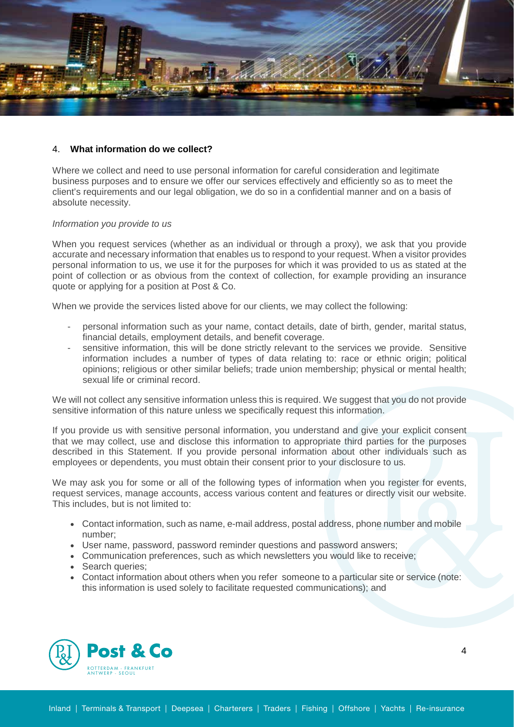

# 4. **What information do we collect?**

Where we collect and need to use personal information for careful consideration and legitimate business purposes and to ensure we offer our services effectively and efficiently so as to meet the client's requirements and our legal obligation, we do so in a confidential manner and on a basis of absolute necessity.

#### *Information you provide to us*

When you request services (whether as an individual or through a proxy), we ask that you provide accurate and necessary information that enables us to respond to your request. When a visitor provides personal information to us, we use it for the purposes for which it was provided to us as stated at the point of collection or as obvious from the context of collection, for example providing an insurance quote or applying for a position at Post & Co.

When we provide the services listed above for our clients, we may collect the following:

- personal information such as your name, contact details, date of birth, gender, marital status, financial details, employment details, and benefit coverage.
- sensitive information, this will be done strictly relevant to the services we provide. Sensitive information includes a number of types of data relating to: race or ethnic origin; political opinions; religious or other similar beliefs; trade union membership; physical or mental health; sexual life or criminal record.

We will not collect any sensitive information unless this is required. We suggest that you do not provide sensitive information of this nature unless we specifically request this information.

If you provide us with sensitive personal information, you understand and give your explicit consent that we may collect, use and disclose this information to appropriate third parties for the purposes described in this Statement. If you provide personal information about other individuals such as employees or dependents, you must obtain their consent prior to your disclosure to us.

We may ask you for some or all of the following types of information when you register for events, request services, manage accounts, access various content and features or directly visit our website. This includes, but is not limited to:

- Contact information, such as name, e-mail address, postal address, phone number and mobile number;
- User name, password, password reminder questions and password answers;
- Communication preferences, such as which newsletters you would like to receive;
- Search queries:
- Contact information about others when you refer someone to a particular site or service (note: this information is used solely to facilitate requested communications); and

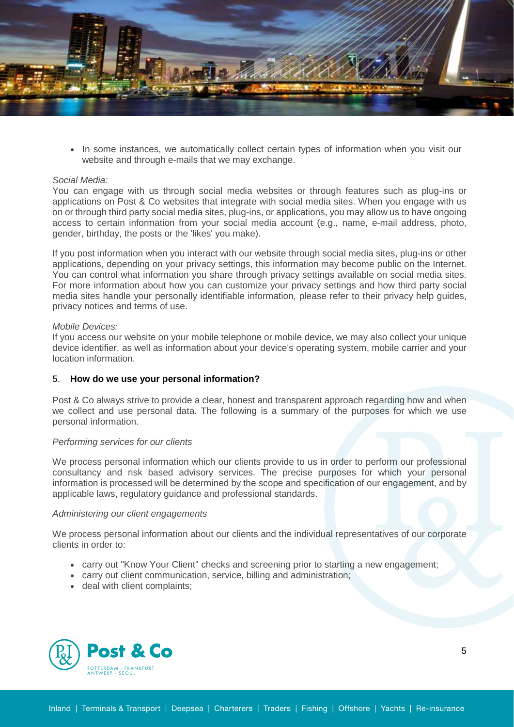

• In some instances, we automatically collect certain types of information when you visit our website and through e-mails that we may exchange.

#### *Social Media:*

You can engage with us through social media websites or through features such as plug-ins or applications on Post & Co websites that integrate with social media sites. When you engage with us on or through third party social media sites, plug-ins, or applications, you may allow us to have ongoing access to certain information from your social media account (e.g., name, e-mail address, photo, gender, birthday, the posts or the 'likes' you make).

If you post information when you interact with our website through social media sites, plug-ins or other applications, depending on your privacy settings, this information may become public on the Internet. You can control what information you share through privacy settings available on social media sites. For more information about how you can customize your privacy settings and how third party social media sites handle your personally identifiable information, please refer to their privacy help guides, privacy notices and terms of use.

#### *Mobile Devices:*

If you access our website on your mobile telephone or mobile device, we may also collect your unique device identifier, as well as information about your device's operating system, mobile carrier and your location information.

#### 5. **How do we use your personal information?**

Post & Co always strive to provide a clear, honest and transparent approach regarding how and when we collect and use personal data. The following is a summary of the purposes for which we use personal information.

#### *Performing services for our clients*

We process personal information which our clients provide to us in order to perform our professional consultancy and risk based advisory services. The precise purposes for which your personal information is processed will be determined by the scope and specification of our engagement, and by applicable laws, regulatory guidance and professional standards.

#### *Administering our client engagements*

We process personal information about our clients and the individual representatives of our corporate clients in order to:

- carry out "Know Your Client" checks and screening prior to starting a new engagement;
- carry out client communication, service, billing and administration;
- deal with client complaints;

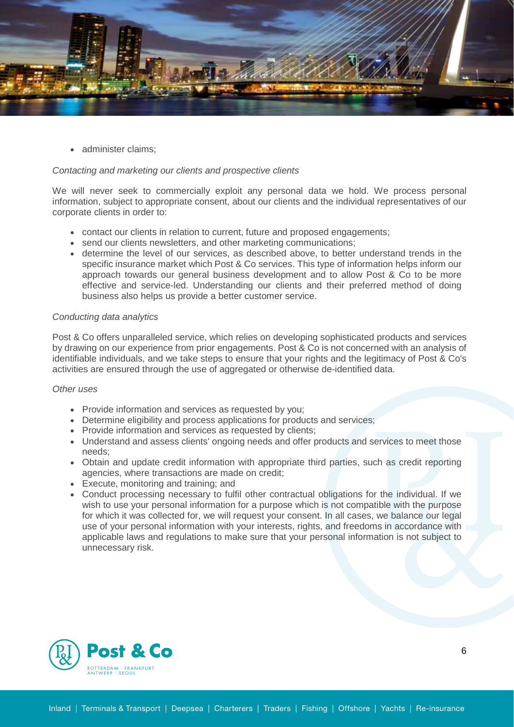

• administer claims:

## *Contacting and marketing our clients and prospective clients*

We will never seek to commercially exploit any personal data we hold. We process personal information, subject to appropriate consent, about our clients and the individual representatives of our corporate clients in order to:

- contact our clients in relation to current, future and proposed engagements;
- send our clients newsletters, and other marketing communications;
- determine the level of our services, as described above, to better understand trends in the specific insurance market which Post & Co services. This type of information helps inform our approach towards our general business development and to allow Post & Co to be more effective and service-led. Understanding our clients and their preferred method of doing business also helps us provide a better customer service.

## *Conducting data analytics*

Post & Co offers unparalleled service, which relies on developing sophisticated products and services by drawing on our experience from prior engagements. Post & Co is not concerned with an analysis of identifiable individuals, and we take steps to ensure that your rights and the legitimacy of Post & Co's activities are ensured through the use of aggregated or otherwise de-identified data.

#### *Other uses*

- Provide information and services as requested by you;
- Determine eligibility and process applications for products and services;
- Provide information and services as requested by clients;
- Understand and assess clients' ongoing needs and offer products and services to meet those needs;
- Obtain and update credit information with appropriate third parties, such as credit reporting agencies, where transactions are made on credit;
- Execute, monitoring and training; and
- Conduct processing necessary to fulfil other contractual obligations for the individual. If we wish to use your personal information for a purpose which is not compatible with the purpose for which it was collected for, we will request your consent. In all cases, we balance our legal use of your personal information with your interests, rights, and freedoms in accordance with applicable laws and regulations to make sure that your personal information is not subject to unnecessary risk.

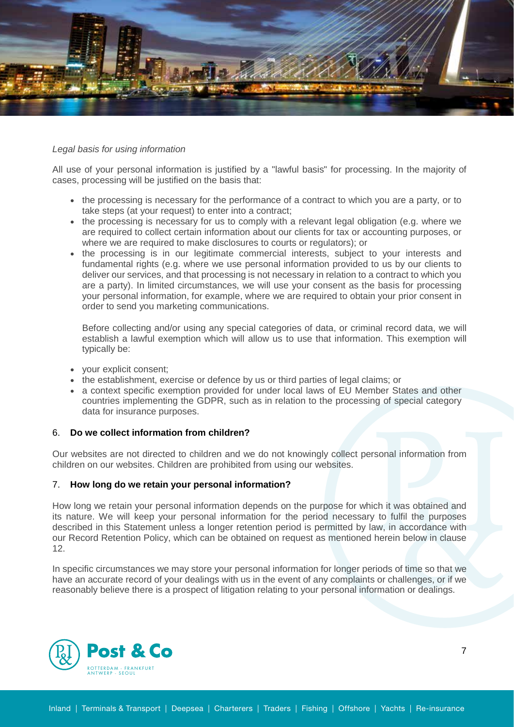

# *Legal basis for using information*

All use of your personal information is justified by a "lawful basis" for processing. In the majority of cases, processing will be justified on the basis that:

- the processing is necessary for the performance of a contract to which you are a party, or to take steps (at your request) to enter into a contract;
- the processing is necessary for us to comply with a relevant legal obligation (e.g. where we are required to collect certain information about our clients for tax or accounting purposes, or where we are required to make disclosures to courts or regulators); or
- the processing is in our legitimate commercial interests, subject to your interests and fundamental rights (e.g. where we use personal information provided to us by our clients to deliver our services, and that processing is not necessary in relation to a contract to which you are a party). In limited circumstances, we will use your consent as the basis for processing your personal information, for example, where we are required to obtain your prior consent in order to send you marketing communications.

 Before collecting and/or using any special categories of data, or criminal record data, we will establish a lawful exemption which will allow us to use that information. This exemption will typically be:

- your explicit consent;
- the establishment, exercise or defence by us or third parties of legal claims; or
- a context specific exemption provided for under local laws of EU Member States and other countries implementing the GDPR, such as in relation to the processing of special category data for insurance purposes.

#### 6. **Do we collect information from children?**

Our websites are not directed to children and we do not knowingly collect personal information from children on our websites. Children are prohibited from using our websites.

#### 7. **How long do we retain your personal information?**

How long we retain your personal information depends on the purpose for which it was obtained and its nature. We will keep your personal information for the period necessary to fulfil the purposes described in this Statement unless a longer retention period is permitted by law, in accordance with our Record Retention Policy, which can be obtained on request as mentioned herein below in clause 12.

In specific circumstances we may store your personal information for longer periods of time so that we have an accurate record of your dealings with us in the event of any complaints or challenges, or if we reasonably believe there is a prospect of litigation relating to your personal information or dealings.

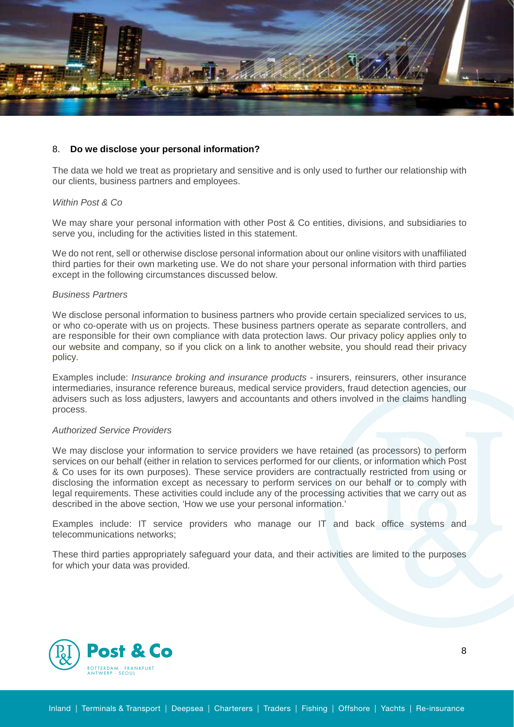

## 8. **Do we disclose your personal information?**

The data we hold we treat as proprietary and sensitive and is only used to further our relationship with our clients, business partners and employees.

## *Within Post & Co*

We mav share your personal information with other Post & Co entities, divisions, and subsidiaries to serve you, including for the activities listed in this statement.

We do not rent, sell or otherwise disclose personal information about our online visitors with unaffiliated third parties for their own marketing use. We do not share your personal information with third parties except in the following circumstances discussed below.

#### *Business Partners*

We disclose personal information to business partners who provide certain specialized services to us, or who co-operate with us on projects. These business partners operate as separate controllers, and are responsible for their own compliance with data protection laws. Our privacy policy applies only to our website and company, so if you click on a link to another website, you should read their privacy policy.

Examples include: *Insurance broking and insurance products* - insurers, reinsurers, other insurance intermediaries, insurance reference bureaus, medical service providers, fraud detection agencies, our advisers such as loss adjusters, lawyers and accountants and others involved in the claims handling process.

## *Authorized Service Providers*

We may disclose your information to service providers we have retained (as processors) to perform services on our behalf (either in relation to services performed for our clients, or information which Post & Co uses for its own purposes). These service providers are contractually restricted from using or disclosing the information except as necessary to perform services on our behalf or to comply with legal requirements. These activities could include any of the processing activities that we carry out as described in the above section, 'How we use your personal information.'

Examples include: IT service providers who manage our IT and back office systems and telecommunications networks;

These third parties appropriately safeguard your data, and their activities are limited to the purposes for which your data was provided.

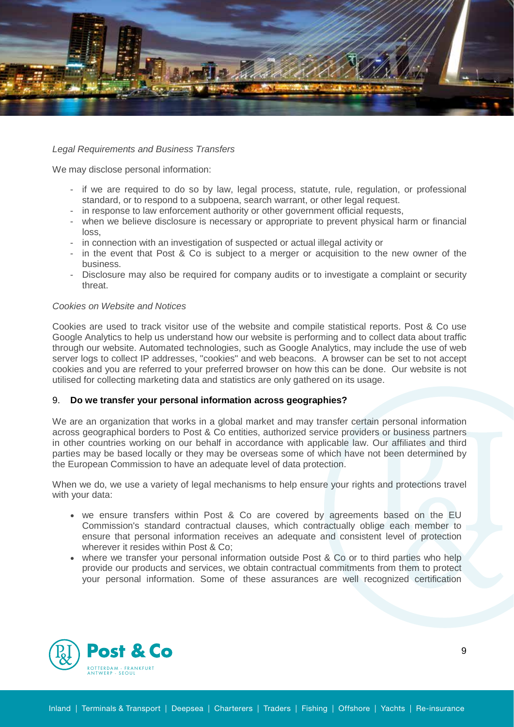

# *Legal Requirements and Business Transfers*

We may disclose personal information:

- if we are required to do so by law, legal process, statute, rule, regulation, or professional standard, or to respond to a subpoena, search warrant, or other legal request.
- in response to law enforcement authority or other government official requests,
- when we believe disclosure is necessary or appropriate to prevent physical harm or financial loss,
- in connection with an investigation of suspected or actual illegal activity or
- in the event that Post & Co is subject to a merger or acquisition to the new owner of the business.
- Disclosure may also be required for company audits or to investigate a complaint or security threat.

## *Cookies on Website and Notices*

Cookies are used to track visitor use of the website and compile statistical reports. Post & Co use Google Analytics to help us understand how our website is performing and to collect data about traffic through our website. Automated technologies, such as Google Analytics, may include the use of web server logs to collect IP addresses, "cookies" and web beacons. A browser can be set to not accept cookies and you are referred to your preferred browser on how this can be done. Our website is not utilised for collecting marketing data and statistics are only gathered on its usage.

# 9. **Do we transfer your personal information across geographies?**

We are an organization that works in a global market and may transfer certain personal information across geographical borders to Post & Co entities, authorized service providers or business partners in other countries working on our behalf in accordance with applicable law. Our affiliates and third parties may be based locally or they may be overseas some of which have not been determined by the European Commission to have an adequate level of data protection.

When we do, we use a variety of legal mechanisms to help ensure your rights and protections travel with your data:

- we ensure transfers within Post & Co are covered by agreements based on the EU Commission's standard contractual clauses, which contractually oblige each member to ensure that personal information receives an adequate and consistent level of protection wherever it resides within Post & Co;
- where we transfer your personal information outside Post & Co or to third parties who help provide our products and services, we obtain contractual commitments from them to protect your personal information. Some of these assurances are well recognized certification

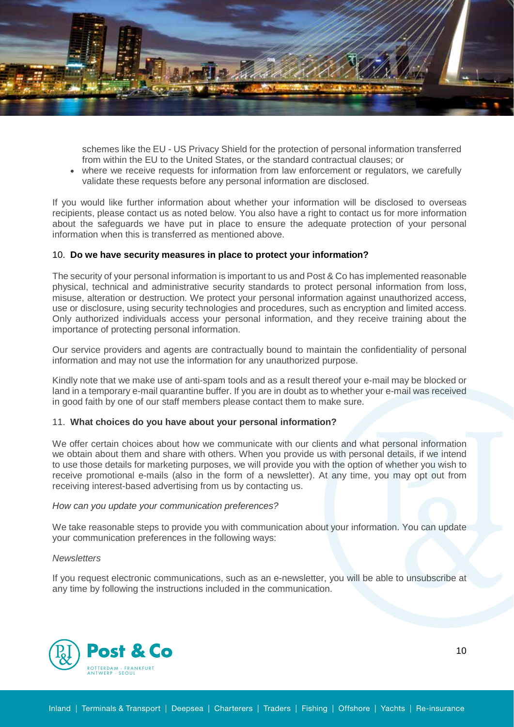

schemes like the EU - US Privacy Shield for the protection of personal information transferred from within the EU to the United States, or the standard contractual clauses; or

• where we receive requests for information from law enforcement or regulators, we carefully validate these requests before any personal information are disclosed.

If you would like further information about whether your information will be disclosed to overseas recipients, please contact us as noted below. You also have a right to contact us for more information about the safeguards we have put in place to ensure the adequate protection of your personal information when this is transferred as mentioned above.

# 10. **Do we have security measures in place to protect your information?**

The security of your personal information is important to us and Post & Co has implemented reasonable physical, technical and administrative security standards to protect personal information from loss, misuse, alteration or destruction. We protect your personal information against unauthorized access, use or disclosure, using security technologies and procedures, such as encryption and limited access. Only authorized individuals access your personal information, and they receive training about the importance of protecting personal information.

Our service providers and agents are contractually bound to maintain the confidentiality of personal information and may not use the information for any unauthorized purpose.

Kindly note that we make use of anti-spam tools and as a result thereof your e-mail may be blocked or land in a temporary e-mail quarantine buffer. If you are in doubt as to whether your e-mail was received in good faith by one of our staff members please contact them to make sure.

# 11. **What choices do you have about your personal information?**

We offer certain choices about how we communicate with our clients and what personal information we obtain about them and share with others. When you provide us with personal details, if we intend to use those details for marketing purposes, we will provide you with the option of whether you wish to receive promotional e-mails (also in the form of a newsletter). At any time, you may opt out from receiving interest-based advertising from us by contacting us.

# *How can you update your communication preferences?*

We take reasonable steps to provide you with communication about your information. You can update your communication preferences in the following ways:

# *Newsletters*

If you request electronic communications, such as an e-newsletter, you will be able to unsubscribe at any time by following the instructions included in the communication.

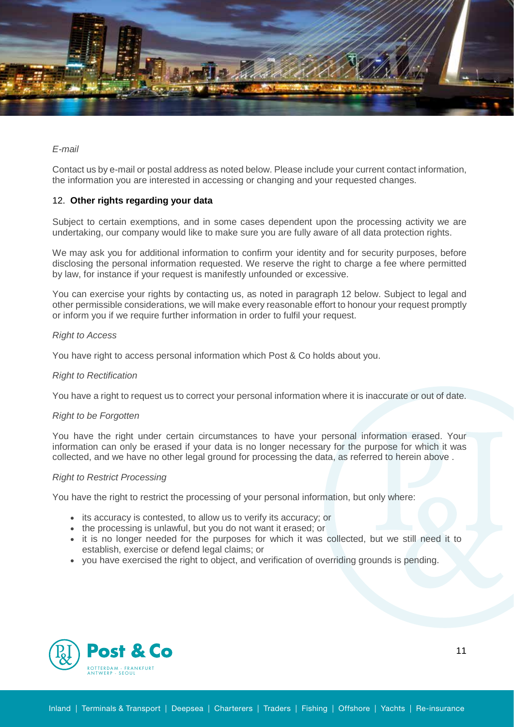

# *E-mail*

Contact us by e-mail or postal address as noted below. Please include your current contact information, the information you are interested in accessing or changing and your requested changes.

# 12. **Other rights regarding your data**

Subject to certain exemptions, and in some cases dependent upon the processing activity we are undertaking, our company would like to make sure you are fully aware of all data protection rights.

We may ask you for additional information to confirm your identity and for security purposes, before disclosing the personal information requested. We reserve the right to charge a fee where permitted by law, for instance if your request is manifestly unfounded or excessive.

You can exercise your rights by contacting us, as noted in paragraph 12 below. Subject to legal and other permissible considerations, we will make every reasonable effort to honour your request promptly or inform you if we require further information in order to fulfil your request.

# *Right to Access*

You have right to access personal information which Post & Co holds about you.

# *Right to Rectification*

You have a right to request us to correct your personal information where it is inaccurate or out of date.

# *Right to be Forgotten*

You have the right under certain circumstances to have your personal information erased. Your information can only be erased if your data is no longer necessary for the purpose for which it was collected, and we have no other legal ground for processing the data, as referred to herein above .

#### *Right to Restrict Processing*

You have the right to restrict the processing of your personal information, but only where:

- its accuracy is contested, to allow us to verify its accuracy; or
- the processing is unlawful, but you do not want it erased; or
- it is no longer needed for the purposes for which it was collected, but we still need it to establish, exercise or defend legal claims; or
- you have exercised the right to object, and verification of overriding grounds is pending.